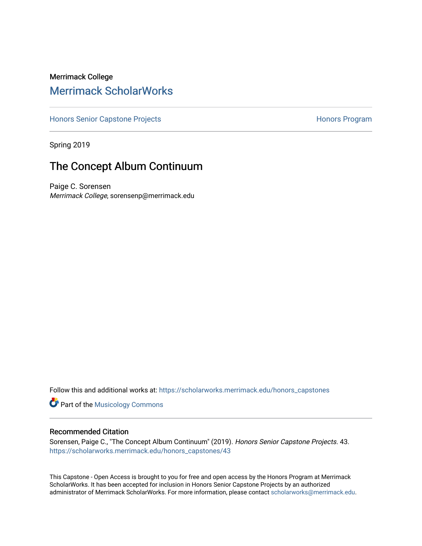## Merrimack College [Merrimack ScholarWorks](https://scholarworks.merrimack.edu/)

[Honors Senior Capstone Projects](https://scholarworks.merrimack.edu/honors_capstones) **Honors Program** Honors Program

Spring 2019

## The Concept Album Continuum

Paige C. Sorensen Merrimack College, sorensenp@merrimack.edu

Follow this and additional works at: [https://scholarworks.merrimack.edu/honors\\_capstones](https://scholarworks.merrimack.edu/honors_capstones?utm_source=scholarworks.merrimack.edu%2Fhonors_capstones%2F43&utm_medium=PDF&utm_campaign=PDFCoverPages)

**Part of the Musicology Commons** 

#### Recommended Citation

Sorensen, Paige C., "The Concept Album Continuum" (2019). Honors Senior Capstone Projects. 43. [https://scholarworks.merrimack.edu/honors\\_capstones/43](https://scholarworks.merrimack.edu/honors_capstones/43?utm_source=scholarworks.merrimack.edu%2Fhonors_capstones%2F43&utm_medium=PDF&utm_campaign=PDFCoverPages) 

This Capstone - Open Access is brought to you for free and open access by the Honors Program at Merrimack ScholarWorks. It has been accepted for inclusion in Honors Senior Capstone Projects by an authorized administrator of Merrimack ScholarWorks. For more information, please contact [scholarworks@merrimack.edu](mailto:scholarworks@merrimack.edu).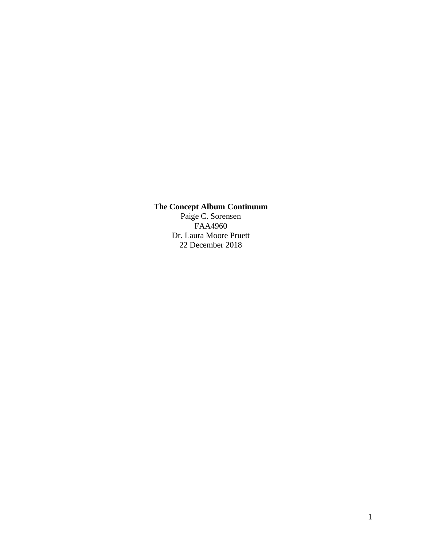# **The Concept Album Continuum**

Paige C. Sorensen FAA4960 Dr. Laura Moore Pruett 22 December 2018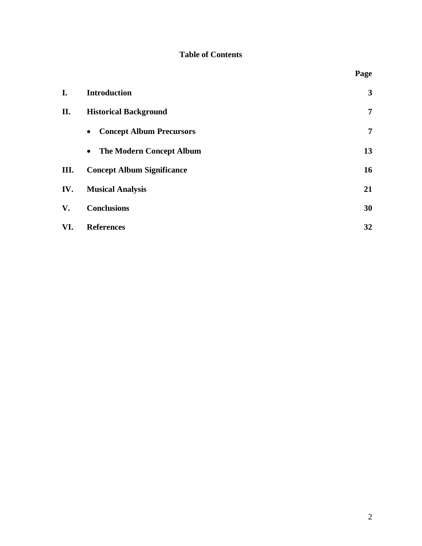## **Table of Contents**

|     |                                              | Page         |
|-----|----------------------------------------------|--------------|
| I.  | <b>Introduction</b>                          | $\mathbf{3}$ |
| II. | <b>Historical Background</b>                 | 7            |
|     | <b>Concept Album Precursors</b><br>$\bullet$ | 7            |
|     | <b>The Modern Concept Album</b><br>$\bullet$ | 13           |
| Ш.  | <b>Concept Album Significance</b>            | 16           |
| IV. | <b>Musical Analysis</b>                      | 21           |
| V.  | <b>Conclusions</b>                           | 30           |
| VI. | <b>References</b>                            | 32           |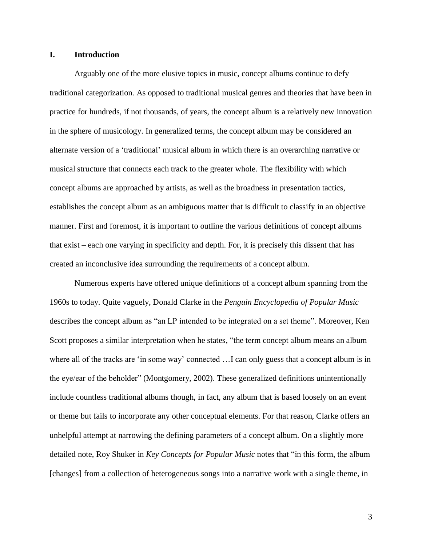#### **I. Introduction**

Arguably one of the more elusive topics in music, concept albums continue to defy traditional categorization. As opposed to traditional musical genres and theories that have been in practice for hundreds, if not thousands, of years, the concept album is a relatively new innovation in the sphere of musicology. In generalized terms, the concept album may be considered an alternate version of a 'traditional' musical album in which there is an overarching narrative or musical structure that connects each track to the greater whole. The flexibility with which concept albums are approached by artists, as well as the broadness in presentation tactics, establishes the concept album as an ambiguous matter that is difficult to classify in an objective manner. First and foremost, it is important to outline the various definitions of concept albums that exist – each one varying in specificity and depth. For, it is precisely this dissent that has created an inconclusive idea surrounding the requirements of a concept album.

Numerous experts have offered unique definitions of a concept album spanning from the 1960s to today. Quite vaguely, Donald Clarke in the *Penguin Encyclopedia of Popular Music*  describes the concept album as "an LP intended to be integrated on a set theme". Moreover, Ken Scott proposes a similar interpretation when he states, "the term concept album means an album where all of the tracks are 'in some way' connected ... I can only guess that a concept album is in the eye/ear of the beholder" (Montgomery, 2002). These generalized definitions unintentionally include countless traditional albums though, in fact, any album that is based loosely on an event or theme but fails to incorporate any other conceptual elements. For that reason, Clarke offers an unhelpful attempt at narrowing the defining parameters of a concept album. On a slightly more detailed note, Roy Shuker in *Key Concepts for Popular Music* notes that "in this form, the album [changes] from a collection of heterogeneous songs into a narrative work with a single theme, in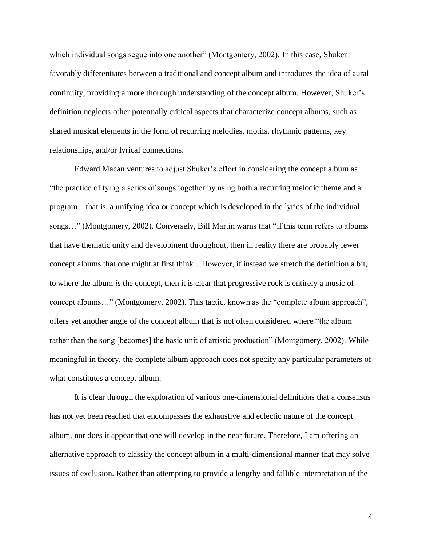which individual songs segue into one another" (Montgomery, 2002). In this case, Shuker favorably differentiates between a traditional and concept album and introduces the idea of aural continuity, providing a more thorough understanding of the concept album. However, Shuker's definition neglects other potentially critical aspects that characterize concept albums, such as shared musical elements in the form of recurring melodies, motifs, rhythmic patterns, key relationships, and/or lyrical connections.

Edward Macan ventures to adjust Shuker's effort in considering the concept album as "the practice of tying a series of songs together by using both a recurring melodic theme and a program – that is, a unifying idea or concept which is developed in the lyrics of the individual songs…" (Montgomery, 2002). Conversely, Bill Martin warns that "if this term refers to albums that have thematic unity and development throughout, then in reality there are probably fewer concept albums that one might at first think…However, if instead we stretch the definition a bit, to where the album *is* the concept, then it is clear that progressive rock is entirely a music of concept albums…" (Montgomery, 2002). This tactic, known as the "complete album approach", offers yet another angle of the concept album that is not often considered where "the album rather than the song [becomes] the basic unit of artistic production" (Montgomery, 2002). While meaningful in theory, the complete album approach does not specify any particular parameters of what constitutes a concept album.

It is clear through the exploration of various one-dimensional definitions that a consensus has not yet been reached that encompasses the exhaustive and eclectic nature of the concept album, nor does it appear that one will develop in the near future. Therefore, I am offering an alternative approach to classify the concept album in a multi-dimensional manner that may solve issues of exclusion. Rather than attempting to provide a lengthy and fallible interpretation of the

4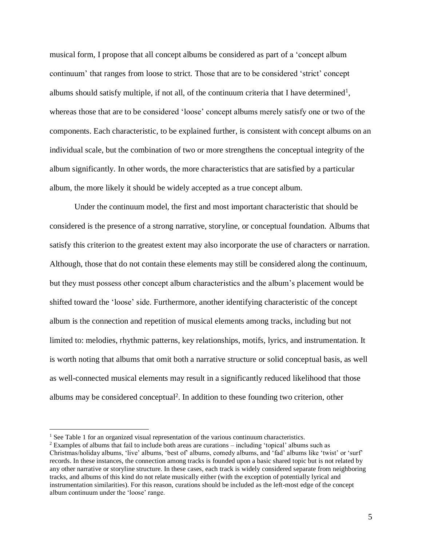musical form, I propose that all concept albums be considered as part of a 'concept album continuum' that ranges from loose to strict. Those that are to be considered 'strict' concept albums should satisfy multiple, if not all, of the continuum criteria that I have determined<sup>1</sup>, whereas those that are to be considered 'loose' concept albums merely satisfy one or two of the components. Each characteristic, to be explained further, is consistent with concept albums on an individual scale, but the combination of two or more strengthens the conceptual integrity of the album significantly. In other words, the more characteristics that are satisfied by a particular album, the more likely it should be widely accepted as a true concept album.

Under the continuum model, the first and most important characteristic that should be considered is the presence of a strong narrative, storyline, or conceptual foundation. Albums that satisfy this criterion to the greatest extent may also incorporate the use of characters or narration. Although, those that do not contain these elements may still be considered along the continuum, but they must possess other concept album characteristics and the album's placement would be shifted toward the 'loose' side. Furthermore, another identifying characteristic of the concept album is the connection and repetition of musical elements among tracks, including but not limited to: melodies, rhythmic patterns, key relationships, motifs, lyrics, and instrumentation. It is worth noting that albums that omit both a narrative structure or solid conceptual basis, as well as well-connected musical elements may result in a significantly reduced likelihood that those albums may be considered conceptual<sup>2</sup>. In addition to these founding two criterion, other

<sup>&</sup>lt;sup>1</sup> See Table 1 for an organized visual representation of the various continuum characteristics.

 $2$  Examples of albums that fail to include both areas are curations – including 'topical' albums such as Christmas/holiday albums, 'live' albums, 'best of' albums, comedy albums, and 'fad' albums like 'twist' or 'surf' records. In these instances, the connection among tracks is founded upon a basic shared topic but is not related by any other narrative or storyline structure. In these cases, each track is widely considered separate from neighboring tracks, and albums of this kind do not relate musically either (with the exception of potentially lyrical and instrumentation similarities). For this reason, curations should be included as the left-most edge of the concept album continuum under the 'loose' range.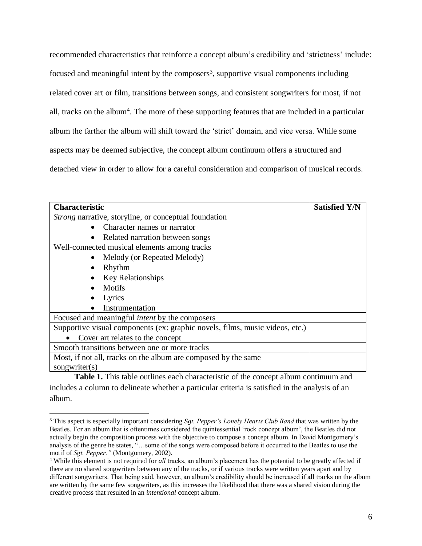recommended characteristics that reinforce a concept album's credibility and 'strictness' include: focused and meaningful intent by the composers<sup>3</sup>, supportive visual components including related cover art or film, transitions between songs, and consistent songwriters for most, if not all, tracks on the album<sup>4</sup>. The more of these supporting features that are included in a particular album the farther the album will shift toward the 'strict' domain, and vice versa. While some aspects may be deemed subjective, the concept album continuum offers a structured and detached view in order to allow for a careful consideration and comparison of musical records.

| <b>Characteristic</b>                                                        | <b>Satisfied Y/N</b> |
|------------------------------------------------------------------------------|----------------------|
| <i>Strong</i> narrative, storyline, or conceptual foundation                 |                      |
| Character names or narrator                                                  |                      |
| Related narration between songs<br>٠                                         |                      |
| Well-connected musical elements among tracks                                 |                      |
| Melody (or Repeated Melody)                                                  |                      |
| Rhythm                                                                       |                      |
| <b>Key Relationships</b>                                                     |                      |
| Motifs                                                                       |                      |
| Lyrics                                                                       |                      |
| Instrumentation                                                              |                      |
| Focused and meaningful <i>intent</i> by the composers                        |                      |
| Supportive visual components (ex: graphic novels, films, music videos, etc.) |                      |
| Cover art relates to the concept                                             |                      |
| Smooth transitions between one or more tracks                                |                      |
| Most, if not all, tracks on the album are composed by the same               |                      |
| songwriter(s)                                                                |                      |

**Table 1.** This table outlines each characteristic of the concept album continuum and includes a column to delineate whether a particular criteria is satisfied in the analysis of an album.

<sup>3</sup> This aspect is especially important considering *Sgt. Pepper's Lonely Hearts Club Band* that was written by the Beatles. For an album that is oftentimes considered the quintessential 'rock concept album', the Beatles did not actually begin the composition process with the objective to compose a concept album. In David Montgomery's analysis of the genre he states, "…some of the songs were composed before it occurred to the Beatles to use the motif of *Sgt. Pepper."* (Montgomery, 2002).

<sup>4</sup> While this element is not required for *all* tracks, an album's placement has the potential to be greatly affected if there are no shared songwriters between any of the tracks, or if various tracks were written years apart and by different songwriters. That being said, however, an album's credibility should be increased if all tracks on the album are written by the same few songwriters, as this increases the likelihood that there was a shared vision during the creative process that resulted in an *intentional* concept album.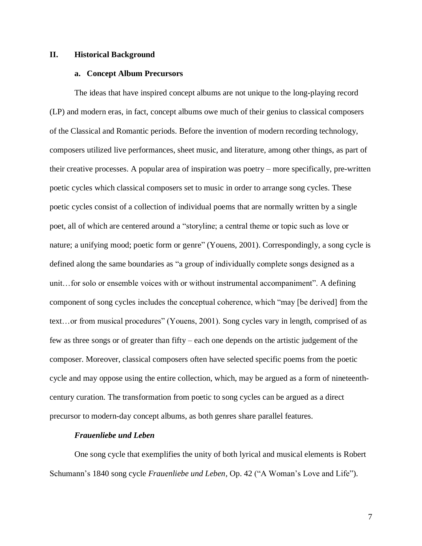#### **II. Historical Background**

#### **a. Concept Album Precursors**

The ideas that have inspired concept albums are not unique to the long-playing record (LP) and modern eras, in fact, concept albums owe much of their genius to classical composers of the Classical and Romantic periods. Before the invention of modern recording technology, composers utilized live performances, sheet music, and literature, among other things, as part of their creative processes. A popular area of inspiration was poetry – more specifically, pre-written poetic cycles which classical composers set to music in order to arrange song cycles. These poetic cycles consist of a collection of individual poems that are normally written by a single poet, all of which are centered around a "storyline; a central theme or topic such as love or nature; a unifying mood; poetic form or genre" (Youens, 2001). Correspondingly, a song cycle is defined along the same boundaries as "a group of individually complete songs designed as a unit…for solo or ensemble voices with or without instrumental accompaniment". A defining component of song cycles includes the conceptual coherence, which "may [be derived] from the text…or from musical procedures" (Youens, 2001). Song cycles vary in length, comprised of as few as three songs or of greater than fifty – each one depends on the artistic judgement of the composer. Moreover, classical composers often have selected specific poems from the poetic cycle and may oppose using the entire collection, which, may be argued as a form of nineteenthcentury curation. The transformation from poetic to song cycles can be argued as a direct precursor to modern-day concept albums, as both genres share parallel features.

#### *Frauenliebe und Leben*

One song cycle that exemplifies the unity of both lyrical and musical elements is Robert Schumann's 1840 song cycle *Frauenliebe und Leben,* Op. 42 ("A Woman's Love and Life").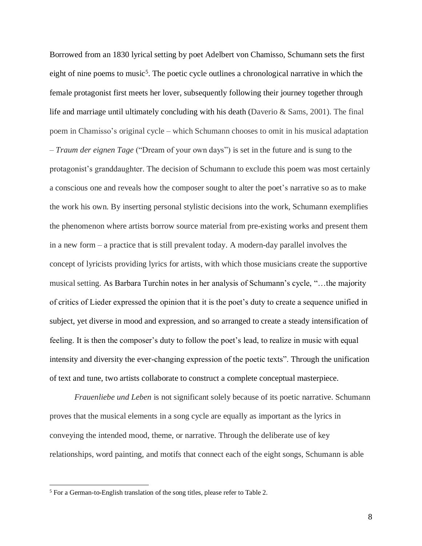Borrowed from an 1830 lyrical setting by poet Adelbert von Chamisso, Schumann sets the first eight of nine poems to music<sup>5</sup>. The poetic cycle outlines a chronological narrative in which the female protagonist first meets her lover, subsequently following their journey together through life and marriage until ultimately concluding with his death (Daverio & Sams, 2001). The final poem in Chamisso's original cycle – which Schumann chooses to omit in his musical adaptation – *Traum der eignen Tage* ("Dream of your own days") is set in the future and is sung to the protagonist's granddaughter. The decision of Schumann to exclude this poem was most certainly a conscious one and reveals how the composer sought to alter the poet's narrative so as to make the work his own. By inserting personal stylistic decisions into the work, Schumann exemplifies the phenomenon where artists borrow source material from pre-existing works and present them in a new form – a practice that is still prevalent today. A modern-day parallel involves the concept of lyricists providing lyrics for artists, with which those musicians create the supportive musical setting. As Barbara Turchin notes in her analysis of Schumann's cycle, "…the majority of critics of Lieder expressed the opinion that it is the poet's duty to create a sequence unified in subject, yet diverse in mood and expression, and so arranged to create a steady intensification of feeling. It is then the composer's duty to follow the poet's lead, to realize in music with equal intensity and diversity the ever-changing expression of the poetic texts". Through the unification of text and tune, two artists collaborate to construct a complete conceptual masterpiece.

*Frauenliebe und Leben* is not significant solely because of its poetic narrative. Schumann proves that the musical elements in a song cycle are equally as important as the lyrics in conveying the intended mood, theme, or narrative. Through the deliberate use of key relationships, word painting, and motifs that connect each of the eight songs, Schumann is able

<sup>&</sup>lt;sup>5</sup> For a German-to-English translation of the song titles, please refer to Table 2.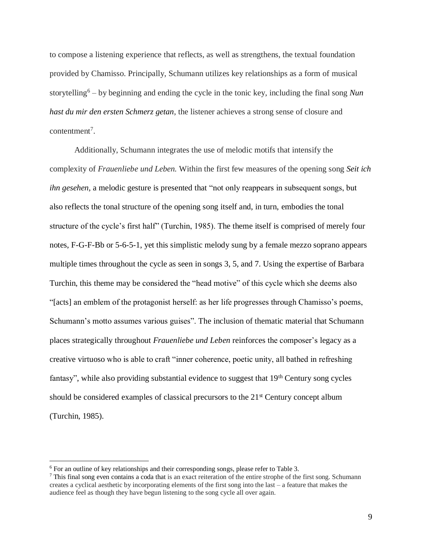to compose a listening experience that reflects, as well as strengthens, the textual foundation provided by Chamisso. Principally, Schumann utilizes key relationships as a form of musical storytelling<sup>6</sup> – by beginning and ending the cycle in the tonic key, including the final song *Nun hast du mir den ersten Schmerz getan*, the listener achieves a strong sense of closure and contentment<sup>7</sup>.

Additionally, Schumann integrates the use of melodic motifs that intensify the complexity of *Frauenliebe und Leben.* Within the first few measures of the opening song *Seit ich ihn gesehen,* a melodic gesture is presented that "not only reappears in subsequent songs, but also reflects the tonal structure of the opening song itself and, in turn, embodies the tonal structure of the cycle's first half" (Turchin, 1985). The theme itself is comprised of merely four notes, F-G-F-Bb or 5-6-5-1, yet this simplistic melody sung by a female mezzo soprano appears multiple times throughout the cycle as seen in songs 3, 5, and 7. Using the expertise of Barbara Turchin, this theme may be considered the "head motive" of this cycle which she deems also "[acts] an emblem of the protagonist herself: as her life progresses through Chamisso's poems, Schumann's motto assumes various guises". The inclusion of thematic material that Schumann places strategically throughout *Frauenliebe und Leben* reinforces the composer's legacy as a creative virtuoso who is able to craft "inner coherence, poetic unity, all bathed in refreshing fantasy", while also providing substantial evidence to suggest that 19<sup>th</sup> Century song cycles should be considered examples of classical precursors to the  $21<sup>st</sup>$  Century concept album (Turchin, 1985).

 $6$  For an outline of key relationships and their corresponding songs, please refer to Table 3.

<sup>7</sup> This final song even contains a coda that is an exact reiteration of the entire strophe of the first song. Schumann creates a cyclical aesthetic by incorporating elements of the first song into the last – a feature that makes the audience feel as though they have begun listening to the song cycle all over again.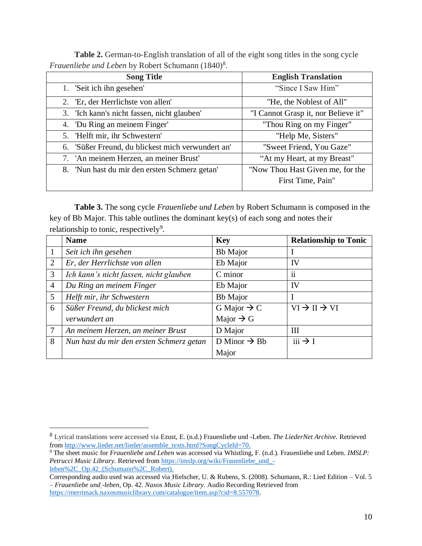**Table 2.** German-to-English translation of all of the eight song titles in the song cycle Frauenliebe und Leben by Robert Schumann (1840)<sup>8</sup>.

| <b>Song Title</b>                                 | <b>English Translation</b>          |
|---------------------------------------------------|-------------------------------------|
| 1. 'Seit ich ihn gesehen'                         | "Since I Saw Him"                   |
| 2. 'Er, der Herrlichste von allen'                | "He, the Noblest of All"            |
| 3. 'Ich kann's nicht fassen, nicht glauben'       | "I Cannot Grasp it, nor Believe it" |
| 4. 'Du Ring an meinem Finger'                     | "Thou Ring on my Finger"            |
| 5. 'Helft mir, ihr Schwestern'                    | "Help Me, Sisters"                  |
| 6. 'Süßer Freund, du blickest mich verwundert an' | "Sweet Friend, You Gaze"            |
| 7. 'An meinem Herzen, an meiner Brust'            | "At my Heart, at my Breast"         |
| 8. 'Nun hast du mir den ersten Schmerz getan'     | "Now Thou Hast Given me, for the    |
|                                                   | First Time, Pain"                   |

**Table 3.** The song cycle *Frauenliebe und Leben* by Robert Schumann is composed in the key of Bb Major. This table outlines the dominant key(s) of each song and notes their relationship to tonic, respectively<sup>9</sup>.

|                 | <b>Name</b>                              | <b>Key</b>               | <b>Relationship to Tonic</b>       |
|-----------------|------------------------------------------|--------------------------|------------------------------------|
| 1               | Seit ich ihn gesehen                     | <b>Bb</b> Major          |                                    |
| 2               | Er, der Herrlichste von allen            | Eb Major                 | IV                                 |
| 3               | Ich kann's nicht fassen, nicht glauben   | C minor                  | $\ddot{\mathbf{i}}$                |
| $\overline{4}$  | Du Ring an meinem Finger                 | Eb Major                 | IV                                 |
| $5\overline{)}$ | Helft mir, ihr Schwestern                | <b>Bb</b> Major          |                                    |
| 6               | Süßer Freund, du blickest mich           | G Major $\rightarrow$ C  | $VI \rightarrow II \rightarrow VI$ |
|                 | verwundert an                            | Major $\rightarrow$ G    |                                    |
| $\overline{7}$  | An meinem Herzen, an meiner Brust        | D Major                  | Ш                                  |
| 8               | Nun hast du mir den ersten Schmerz getan | D Minor $\rightarrow$ Bb | $iii \rightarrow I$                |
|                 |                                          | Major                    |                                    |

<sup>8</sup> Lyrical translations were accessed via Ezust, E. (n.d.) Frauenliebe und -Leben. *The LiederNet Archive.* Retrieved from [http://www.lieder.net/lieder/assemble\\_texts.html?SongCycleId=70.](http://www.lieder.net/lieder/assemble_texts.html?SongCycleId=70)

<sup>9</sup> The sheet music for *Frauenliebe und Leben* was accessed via Whistling, F. (n.d.). Frauenliebe und Leben. *IMSLP:*  Petrucci Music Library. Retrieved from [https://imslp.org/wiki/Frauenliebe\\_und\\_](https://imslp.org/wiki/Frauenliebe_und_-leben%2C_Op.42_(Schumann%2C_Robert)) [leben%2C\\_Op.42\\_\(Schumann%2C\\_Robert\).](https://imslp.org/wiki/Frauenliebe_und_-leben%2C_Op.42_(Schumann%2C_Robert))

Corresponding audio used was accessed via Hielscher, U. & Rubens, S. (2008). Schumann, R.: Lied Edition – Vol. 5 – *Frauenliebe und -leben,* Op. 42. *Naxos Music Library.* Audio Recording Retrieved from [https://merrimack.naxosmusiclibrary.com/catalogue/item.asp?cid=8.557078.](https://merrimack.naxosmusiclibrary.com/catalogue/item.asp?cid=8.557078)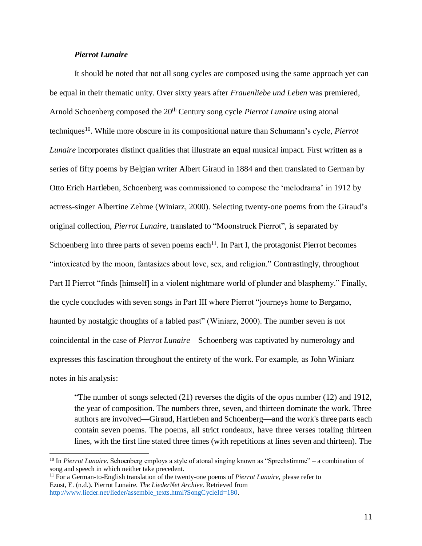### *Pierrot Lunaire*

 $\overline{a}$ 

It should be noted that not all song cycles are composed using the same approach yet can be equal in their thematic unity. Over sixty years after *Frauenliebe und Leben* was premiered*,*  Arnold Schoenberg composed the 20th Century song cycle *Pierrot Lunaire* using atonal techniques<sup>10</sup>. While more obscure in its compositional nature than Schumann's cycle, *Pierrot Lunaire* incorporates distinct qualities that illustrate an equal musical impact. First written as a series of fifty poems by Belgian writer Albert Giraud in 1884 and then translated to German by Otto Erich Hartleben, Schoenberg was commissioned to compose the 'melodrama' in 1912 by actress-singer Albertine Zehme (Winiarz, 2000). Selecting twenty-one poems from the Giraud's original collection, *Pierrot Lunaire,* translated to "Moonstruck Pierrot", is separated by Schoenberg into three parts of seven poems each $<sup>11</sup>$ . In Part I, the protagonist Pierrot becomes</sup> "intoxicated by the moon, fantasizes about love, sex, and religion." Contrastingly, throughout Part II Pierrot "finds [himself] in a violent nightmare world of plunder and blasphemy." Finally, the cycle concludes with seven songs in Part III where Pierrot "journeys home to Bergamo, haunted by nostalgic thoughts of a fabled past" (Winiarz, 2000). The number seven is not coincidental in the case of *Pierrot Lunaire* – Schoenberg was captivated by numerology and expresses this fascination throughout the entirety of the work. For example, as John Winiarz notes in his analysis:

"The number of songs selected (21) reverses the digits of the opus number (12) and 1912, the year of composition. The numbers three, seven, and thirteen dominate the work. Three authors are involved—Giraud, Hartleben and Schoenberg—and the work's three parts each contain seven poems. The poems, all strict rondeaux, have three verses totaling thirteen lines, with the first line stated three times (with repetitions at lines seven and thirteen). The

<sup>11</sup> For a German-to-English translation of the twenty-one poems of *Pierrot Lunaire*, please refer to Ezust, E. (n.d.). Pierrot Lunaire. *The LiederNet Archive.* Retrieved from [http://www.lieder.net/lieder/assemble\\_texts.html?SongCycleId=180.](http://www.lieder.net/lieder/assemble_texts.html?SongCycleId=180)

<sup>&</sup>lt;sup>10</sup> In *Pierrot Lunaire*, Schoenberg employs a style of atonal singing known as "Sprechstimme" – a combination of song and speech in which neither take precedent.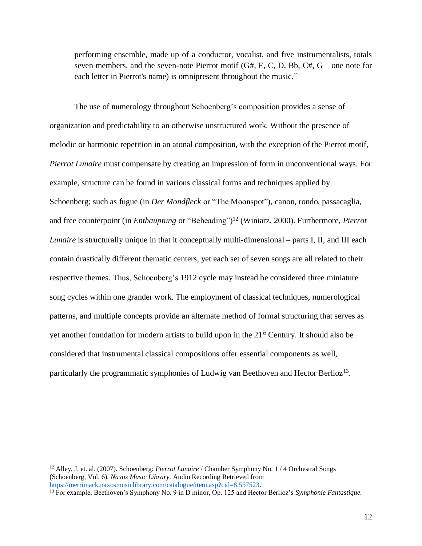performing ensemble, made up of a conductor, vocalist, and five instrumentalists, totals seven members, and the seven-note Pierrot motif  $(G#, E, C, D, B$ ,  $C#$ ,  $G$ —one note for each letter in Pierrot's name) is omnipresent throughout the music."

The use of numerology throughout Schoenberg's composition provides a sense of organization and predictability to an otherwise unstructured work. Without the presence of melodic or harmonic repetition in an atonal composition, with the exception of the Pierrot motif, *Pierrot Lunaire* must compensate by creating an impression of form in unconventional ways. For example, structure can be found in various classical forms and techniques applied by Schoenberg; such as fugue (in *Der Mondfleck* or "The Moonspot"), canon, rondo, passacaglia, and free counterpoint (in *Enthauptung* or "Beheading")<sup>12</sup> (Winiarz, 2000). Furthermore, *Pierrot Lunaire* is structurally unique in that it conceptually multi-dimensional – parts I, II, and III each contain drastically different thematic centers, yet each set of seven songs are all related to their respective themes. Thus, Schoenberg's 1912 cycle may instead be considered three miniature song cycles within one grander work. The employment of classical techniques, numerological patterns, and multiple concepts provide an alternate method of formal structuring that serves as yet another foundation for modern artists to build upon in the  $21<sup>st</sup>$  Century. It should also be considered that instrumental classical compositions offer essential components as well, particularly the programmatic symphonies of Ludwig van Beethoven and Hector Berlioz<sup>13</sup>.

<sup>12</sup> Alley, J. et. al. (2007). Schoenberg: *Pierrot Lunaire* / Chamber Symphony No. 1 / 4 Orchestral Songs (Schoenberg, Vol. 6). *Naxos Music Library.* Audio Recording Retrieved from [https://merrimack.naxosmusiclibrary.com/catalogue/item.asp?cid=8.557523.](https://merrimack.naxosmusiclibrary.com/catalogue/item.asp?cid=8.557523)

<sup>13</sup> For example, Beethoven's Symphony No. 9 in D minor, Op. 125 and Hector Berlioz's *Symphonie Fantastique.*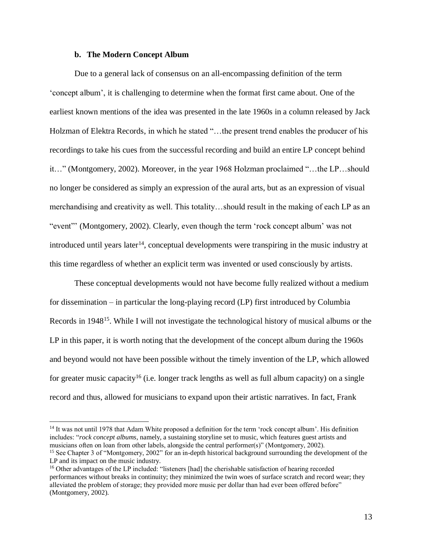#### **b. The Modern Concept Album**

 $\overline{a}$ 

Due to a general lack of consensus on an all-encompassing definition of the term 'concept album', it is challenging to determine when the format first came about. One of the earliest known mentions of the idea was presented in the late 1960s in a column released by Jack Holzman of Elektra Records, in which he stated "…the present trend enables the producer of his recordings to take his cues from the successful recording and build an entire LP concept behind it…" (Montgomery, 2002). Moreover, in the year 1968 Holzman proclaimed "…the LP…should no longer be considered as simply an expression of the aural arts, but as an expression of visual merchandising and creativity as well. This totality…should result in the making of each LP as an "event"' (Montgomery, 2002). Clearly, even though the term 'rock concept album' was not introduced until years later<sup>14</sup>, conceptual developments were transpiring in the music industry at this time regardless of whether an explicit term was invented or used consciously by artists.

These conceptual developments would not have become fully realized without a medium for dissemination – in particular the long-playing record (LP) first introduced by Columbia Records in 1948<sup>15</sup>. While I will not investigate the technological history of musical albums or the LP in this paper, it is worth noting that the development of the concept album during the 1960s and beyond would not have been possible without the timely invention of the LP, which allowed for greater music capacity<sup>16</sup> (i.e. longer track lengths as well as full album capacity) on a single record and thus, allowed for musicians to expand upon their artistic narratives. In fact, Frank

<sup>&</sup>lt;sup>14</sup> It was not until 1978 that Adam White proposed a definition for the term 'rock concept album'. His definition includes: "*rock concept albums*, namely, a sustaining storyline set to music, which features guest artists and musicians often on loan from other labels, alongside the central performer(s)" (Montgomery, 2002).

<sup>&</sup>lt;sup>15</sup> See Chapter 3 of "Montgomery, 2002" for an in-depth historical background surrounding the development of the LP and its impact on the music industry.

<sup>&</sup>lt;sup>16</sup> Other advantages of the LP included: "listeners [had] the cherishable satisfaction of hearing recorded performances without breaks in continuity; they minimized the twin woes of surface scratch and record wear; they alleviated the problem of storage; they provided more music per dollar than had ever been offered before" (Montgomery, 2002).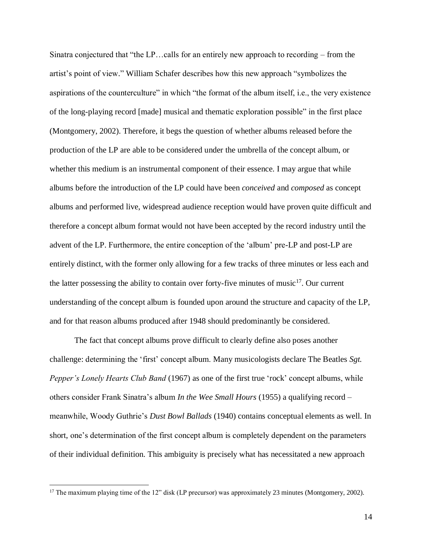Sinatra conjectured that "the LP…calls for an entirely new approach to recording – from the artist's point of view." William Schafer describes how this new approach "symbolizes the aspirations of the counterculture" in which "the format of the album itself, i.e., the very existence of the long-playing record [made] musical and thematic exploration possible" in the first place (Montgomery, 2002). Therefore, it begs the question of whether albums released before the production of the LP are able to be considered under the umbrella of the concept album, or whether this medium is an instrumental component of their essence. I may argue that while albums before the introduction of the LP could have been *conceived* and *composed* as concept albums and performed live, widespread audience reception would have proven quite difficult and therefore a concept album format would not have been accepted by the record industry until the advent of the LP. Furthermore, the entire conception of the 'album' pre-LP and post-LP are entirely distinct, with the former only allowing for a few tracks of three minutes or less each and the latter possessing the ability to contain over forty-five minutes of music $17$ . Our current understanding of the concept album is founded upon around the structure and capacity of the LP, and for that reason albums produced after 1948 should predominantly be considered.

The fact that concept albums prove difficult to clearly define also poses another challenge: determining the 'first' concept album. Many musicologists declare The Beatles *Sgt. Pepper's Lonely Hearts Club Band* (1967) as one of the first true 'rock' concept albums, while others consider Frank Sinatra's album *In the Wee Small Hours* (1955) a qualifying record – meanwhile, Woody Guthrie's *Dust Bowl Ballads* (1940) contains conceptual elements as well. In short, one's determination of the first concept album is completely dependent on the parameters of their individual definition. This ambiguity is precisely what has necessitated a new approach

<sup>&</sup>lt;sup>17</sup> The maximum playing time of the 12" disk (LP precursor) was approximately 23 minutes (Montgomery, 2002).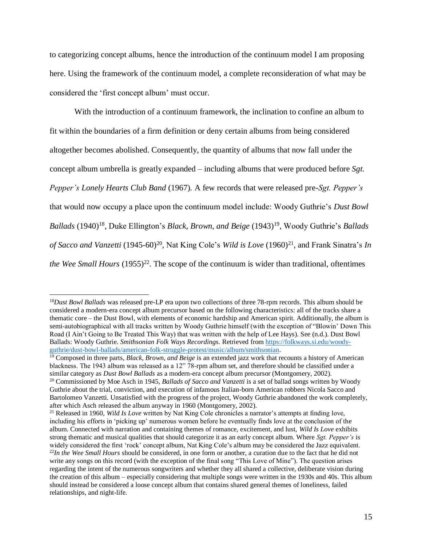to categorizing concept albums, hence the introduction of the continuum model I am proposing here. Using the framework of the continuum model, a complete reconsideration of what may be considered the 'first concept album' must occur.

With the introduction of a continuum framework, the inclination to confine an album to fit within the boundaries of a firm definition or deny certain albums from being considered altogether becomes abolished. Consequently, the quantity of albums that now fall under the concept album umbrella is greatly expanded – including albums that were produced before *Sgt. Pepper's Lonely Hearts Club Band* (1967)*.* A few records that were released pre-*Sgt. Pepper's* that would now occupy a place upon the continuum model include: Woody Guthrie's *Dust Bowl*  Ballads (1940)<sup>18</sup>, Duke Ellington's *Black, Brown, and Beige* (1943)<sup>19</sup>, Woody Guthrie's *Ballads* of Sacco and Vanzetti (1945-60)<sup>20</sup>, Nat King Cole's *Wild is Love* (1960)<sup>21</sup>, and Frank Sinatra's *In* the Wee Small Hours (1955)<sup>22</sup>. The scope of the continuum is wider than traditional, oftentimes

<sup>18</sup>*Dust Bowl Ballads* was released pre-LP era upon two collections of three 78-rpm records. This album should be considered a modern-era concept album precursor based on the following characteristics: all of the tracks share a thematic core – the Dust Bowl, with elements of economic hardship and American spirit. Additionally, the album is semi-autobiographical with all tracks written by Woody Guthrie himself (with the exception of "Blowin' Down This Road (I Ain't Going to Be Treated This Way) that was written with the help of Lee Hays). See (n.d.). Dust Bowl Ballads: Woody Guthrie. *Smithsonian Folk Ways Recordings.* Retrieved from [https://folkways.si.edu/woody](https://folkways.si.edu/woody-guthrie/dust-bowl-ballads/american-folk-struggle-protest/music/album/smithsonian)[guthrie/dust-bowl-ballads/american-folk-struggle-protest/music/album/smithsonian.](https://folkways.si.edu/woody-guthrie/dust-bowl-ballads/american-folk-struggle-protest/music/album/smithsonian)

<sup>19</sup> Composed in three parts, *Black, Brown, and Beige* is an extended jazz work that recounts a history of American blackness. The 1943 album was released as a 12" 78-rpm album set, and therefore should be classified under a similar category as *Dust Bowl Ballads* as a modern-era concept album precursor (Montgomery, 2002).

<sup>20</sup> Commissioned by Moe Asch in 1945, *Ballads of Sacco and Vanzetti* is a set of ballad songs written by Woody Guthrie about the trial, conviction, and execution of infamous Italian-born American robbers Nicola Sacco and Bartolomeo Vanzetti. Unsatisfied with the progress of the project, Woody Guthrie abandoned the work completely, after which Asch released the album anyway in 1960 (Montgomery, 2002).

<sup>21</sup> Released in 1960, *Wild Is Love* written by Nat King Cole chronicles a narrator's attempts at finding love, including his efforts in 'picking up' numerous women before he eventually finds love at the conclusion of the album. Connected with narration and containing themes of romance, excitement, and lust, *Wild Is Love* exhibits strong thematic and musical qualities that should categorize it as an early concept album. Where *Sgt. Pepper's* is widely considered the first 'rock' concept album, Nat King Cole's album may be considered the Jazz equivalent. <sup>22</sup>*In the Wee Small Hours* should be considered, in one form or another, a curation due to the fact that he did not write any songs on this record (with the exception of the final song "This Love of Mine"). The question arises regarding the intent of the numerous songwriters and whether they all shared a collective, deliberate vision during the creation of this album – especially considering that multiple songs were written in the 1930s and 40s. This album should instead be considered a loose concept album that contains shared general themes of loneliness, failed relationships, and night-life.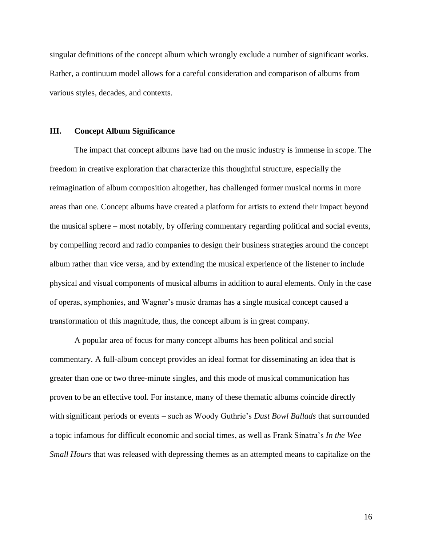singular definitions of the concept album which wrongly exclude a number of significant works. Rather, a continuum model allows for a careful consideration and comparison of albums from various styles, decades, and contexts.

#### **III. Concept Album Significance**

The impact that concept albums have had on the music industry is immense in scope. The freedom in creative exploration that characterize this thoughtful structure, especially the reimagination of album composition altogether, has challenged former musical norms in more areas than one. Concept albums have created a platform for artists to extend their impact beyond the musical sphere – most notably, by offering commentary regarding political and social events, by compelling record and radio companies to design their business strategies around the concept album rather than vice versa, and by extending the musical experience of the listener to include physical and visual components of musical albums in addition to aural elements. Only in the case of operas, symphonies, and Wagner's music dramas has a single musical concept caused a transformation of this magnitude, thus, the concept album is in great company.

A popular area of focus for many concept albums has been political and social commentary. A full-album concept provides an ideal format for disseminating an idea that is greater than one or two three-minute singles, and this mode of musical communication has proven to be an effective tool. For instance, many of these thematic albums coincide directly with significant periods or events – such as Woody Guthrie's *Dust Bowl Ballads* that surrounded a topic infamous for difficult economic and social times, as well as Frank Sinatra's *In the Wee Small Hours* that was released with depressing themes as an attempted means to capitalize on the

16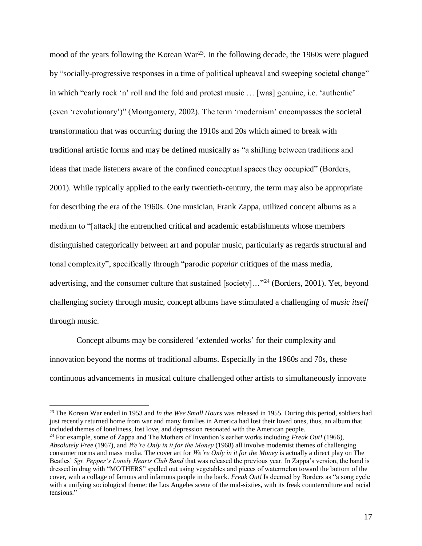mood of the years following the Korean War<sup>23</sup>. In the following decade, the 1960s were plagued by "socially-progressive responses in a time of political upheaval and sweeping societal change" in which "early rock 'n' roll and the fold and protest music … [was] genuine, i.e. 'authentic' (even 'revolutionary')" (Montgomery, 2002). The term 'modernism' encompasses the societal transformation that was occurring during the 1910s and 20s which aimed to break with traditional artistic forms and may be defined musically as "a shifting between traditions and ideas that made listeners aware of the confined conceptual spaces they occupied" (Borders, 2001). While typically applied to the early twentieth-century, the term may also be appropriate for describing the era of the 1960s. One musician, Frank Zappa, utilized concept albums as a medium to "[attack] the entrenched critical and academic establishments whose members distinguished categorically between art and popular music, particularly as regards structural and tonal complexity", specifically through "parodic *popular* critiques of the mass media, advertising, and the consumer culture that sustained [society]…"<sup>24</sup> (Borders, 2001). Yet, beyond challenging society through music, concept albums have stimulated a challenging of *music itself* through music.

Concept albums may be considered 'extended works' for their complexity and innovation beyond the norms of traditional albums. Especially in the 1960s and 70s, these continuous advancements in musical culture challenged other artists to simultaneously innovate

<sup>23</sup> The Korean War ended in 1953 and *In the Wee Small Hours* was released in 1955. During this period, soldiers had just recently returned home from war and many families in America had lost their loved ones, thus, an album that included themes of loneliness, lost love, and depression resonated with the American people.

<sup>24</sup> For example, some of Zappa and The Mothers of Invention's earlier works including *Freak Out!* (1966), *Absolutely Free* (1967), and *We're Only in it for the Money* (1968) all involve modernist themes of challenging consumer norms and mass media. The cover art for *We're Only in it for the Money* is actually a direct play on The Beatles' *Sgt. Pepper's Lonely Hearts Club Band* that was released the previous year. In Zappa's version, the band is dressed in drag with "MOTHERS" spelled out using vegetables and pieces of watermelon toward the bottom of the cover, with a collage of famous and infamous people in the back. *Freak Out!* Is deemed by Borders as "a song cycle with a unifying sociological theme: the Los Angeles scene of the mid-sixties, with its freak counterculture and racial tensions."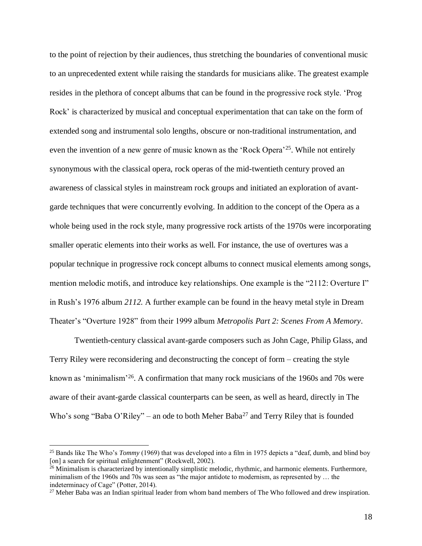to the point of rejection by their audiences, thus stretching the boundaries of conventional music to an unprecedented extent while raising the standards for musicians alike. The greatest example resides in the plethora of concept albums that can be found in the progressive rock style. 'Prog Rock' is characterized by musical and conceptual experimentation that can take on the form of extended song and instrumental solo lengths, obscure or non-traditional instrumentation, and even the invention of a new genre of music known as the 'Rock Opera'<sup>25</sup>. While not entirely synonymous with the classical opera, rock operas of the mid-twentieth century proved an awareness of classical styles in mainstream rock groups and initiated an exploration of avantgarde techniques that were concurrently evolving. In addition to the concept of the Opera as a whole being used in the rock style, many progressive rock artists of the 1970s were incorporating smaller operatic elements into their works as well. For instance, the use of overtures was a popular technique in progressive rock concept albums to connect musical elements among songs, mention melodic motifs, and introduce key relationships. One example is the "2112: Overture I" in Rush's 1976 album *2112.* A further example can be found in the heavy metal style in Dream Theater's "Overture 1928" from their 1999 album *Metropolis Part 2: Scenes From A Memory*.

Twentieth-century classical avant-garde composers such as John Cage, Philip Glass, and Terry Riley were reconsidering and deconstructing the concept of form – creating the style known as 'minimalism'<sup>26</sup>. A confirmation that many rock musicians of the 1960s and 70s were aware of their avant-garde classical counterparts can be seen, as well as heard, directly in The Who's song "Baba O'Riley" – an ode to both Meher Baba<sup>27</sup> and Terry Riley that is founded

<sup>&</sup>lt;sup>25</sup> Bands like The Who's *Tommy* (1969) that was developed into a film in 1975 depicts a "deaf, dumb, and blind boy [on] a search for spiritual enlightenment" (Rockwell, 2002).

<sup>&</sup>lt;sup>26</sup> Minimalism is characterized by intentionally simplistic melodic, rhythmic, and harmonic elements. Furthermore, minimalism of the 1960s and 70s was seen as "the major antidote to modernism, as represented by … the indeterminacy of Cage" (Potter, 2014).

<sup>&</sup>lt;sup>27</sup> Meher Baba was an Indian spiritual leader from whom band members of The Who followed and drew inspiration.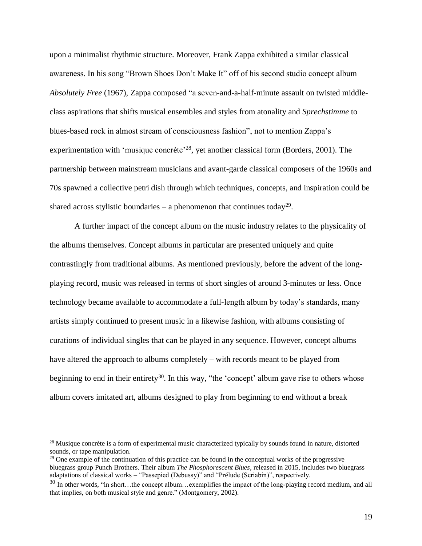upon a minimalist rhythmic structure. Moreover, Frank Zappa exhibited a similar classical awareness. In his song "Brown Shoes Don't Make It" off of his second studio concept album *Absolutely Free* (1967), Zappa composed "a seven-and-a-half-minute assault on twisted middleclass aspirations that shifts musical ensembles and styles from atonality and *Sprechstimme* to blues-based rock in almost stream of consciousness fashion", not to mention Zappa's experimentation with 'musique concrète'<sup>28</sup>, yet another classical form (Borders, 2001). The partnership between mainstream musicians and avant-garde classical composers of the 1960s and 70s spawned a collective petri dish through which techniques, concepts, and inspiration could be shared across stylistic boundaries – a phenomenon that continues today<sup>29</sup>.

A further impact of the concept album on the music industry relates to the physicality of the albums themselves. Concept albums in particular are presented uniquely and quite contrastingly from traditional albums. As mentioned previously, before the advent of the longplaying record, music was released in terms of short singles of around 3-minutes or less. Once technology became available to accommodate a full-length album by today's standards, many artists simply continued to present music in a likewise fashion, with albums consisting of curations of individual singles that can be played in any sequence. However, concept albums have altered the approach to albums completely – with records meant to be played from beginning to end in their entirety<sup>30</sup>. In this way, "the 'concept' album gave rise to others whose album covers imitated art, albums designed to play from beginning to end without a break

<sup>&</sup>lt;sup>28</sup> Musique concrète is a form of experimental music characterized typically by sounds found in nature, distorted sounds, or tape manipulation.

 $29$  One example of the continuation of this practice can be found in the conceptual works of the progressive bluegrass group Punch Brothers. Their album *The Phosphorescent Blues,* released in 2015, includes two bluegrass adaptations of classical works – "Passepied (Debussy)" and "Prélude (Scriabin)", respectively.

<sup>&</sup>lt;sup>30</sup> In other words, "in short...the concept album...exemplifies the impact of the long-playing record medium, and all that implies, on both musical style and genre." (Montgomery, 2002).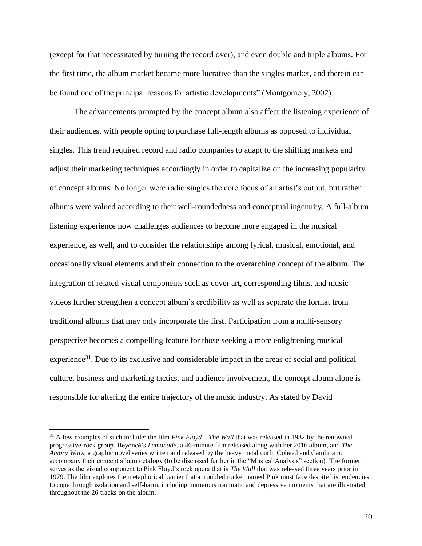(except for that necessitated by turning the record over), and even double and triple albums. For the first time, the album market became more lucrative than the singles market, and therein can be found one of the principal reasons for artistic developments" (Montgomery, 2002).

The advancements prompted by the concept album also affect the listening experience of their audiences, with people opting to purchase full-length albums as opposed to individual singles. This trend required record and radio companies to adapt to the shifting markets and adjust their marketing techniques accordingly in order to capitalize on the increasing popularity of concept albums. No longer were radio singles the core focus of an artist's output, but rather albums were valued according to their well-roundedness and conceptual ingenuity. A full-album listening experience now challenges audiences to become more engaged in the musical experience, as well, and to consider the relationships among lyrical, musical, emotional, and occasionally visual elements and their connection to the overarching concept of the album. The integration of related visual components such as cover art, corresponding films, and music videos further strengthen a concept album's credibility as well as separate the format from traditional albums that may only incorporate the first. Participation from a multi-sensory perspective becomes a compelling feature for those seeking a more enlightening musical experience<sup>31</sup>. Due to its exclusive and considerable impact in the areas of social and political culture, business and marketing tactics, and audience involvement, the concept album alone is responsible for altering the entire trajectory of the music industry. As stated by David

<sup>31</sup> A few examples of such include: the film *Pink Floyd – The Wall* that was released in 1982 by the renowned progressive-rock group, Beyoncé's *Lemonade*, a 46-minute film released along with her 2016 album, and *The Amory Wars,* a graphic novel series written and released by the heavy metal outfit Coheed and Cambria to accompany their concept album octalogy (to be discussed further in the "Musical Analysis" section). The former serves as the visual component to Pink Floyd's rock opera that is *The Wall* that was released three years prior in 1979. The film explores the metaphorical barrier that a troubled rocker named Pink must face despite his tendencies to cope through isolation and self-harm, including numerous traumatic and depressive moments that are illustrated throughout the 26 tracks on the album.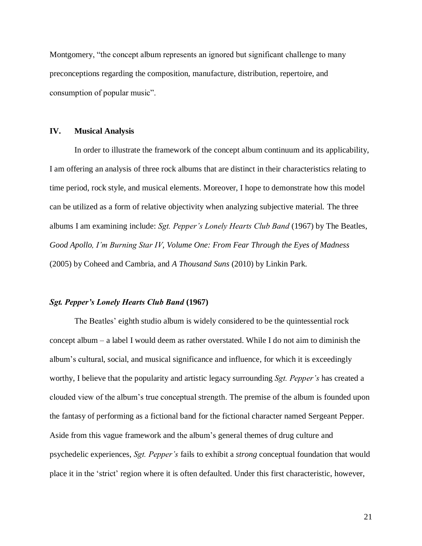Montgomery, "the concept album represents an ignored but significant challenge to many preconceptions regarding the composition, manufacture, distribution, repertoire, and consumption of popular music".

#### **IV. Musical Analysis**

In order to illustrate the framework of the concept album continuum and its applicability, I am offering an analysis of three rock albums that are distinct in their characteristics relating to time period, rock style, and musical elements. Moreover, I hope to demonstrate how this model can be utilized as a form of relative objectivity when analyzing subjective material. The three albums I am examining include: *Sgt. Pepper's Lonely Hearts Club Band* (1967) by The Beatles, *Good Apollo, I'm Burning Star IV, Volume One: From Fear Through the Eyes of Madness*  (2005) by Coheed and Cambria, and *A Thousand Suns* (2010) by Linkin Park.

#### *Sgt. Pepper's Lonely Hearts Club Band* **(1967)**

The Beatles' eighth studio album is widely considered to be the quintessential rock concept album – a label I would deem as rather overstated. While I do not aim to diminish the album's cultural, social, and musical significance and influence, for which it is exceedingly worthy, I believe that the popularity and artistic legacy surrounding *Sgt. Pepper's* has created a clouded view of the album's true conceptual strength. The premise of the album is founded upon the fantasy of performing as a fictional band for the fictional character named Sergeant Pepper. Aside from this vague framework and the album's general themes of drug culture and psychedelic experiences, *Sgt. Pepper's* fails to exhibit a *strong* conceptual foundation that would place it in the 'strict' region where it is often defaulted. Under this first characteristic, however,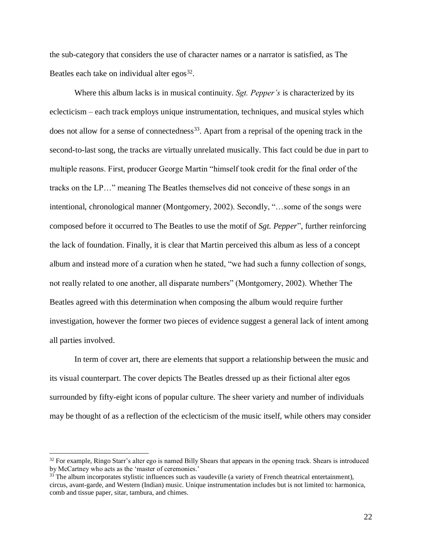the sub-category that considers the use of character names or a narrator is satisfied, as The Beatles each take on individual alter  $egos<sup>32</sup>$ .

Where this album lacks is in musical continuity. *Sgt. Pepper's* is characterized by its eclecticism – each track employs unique instrumentation, techniques, and musical styles which does not allow for a sense of connectedness<sup>33</sup>. Apart from a reprisal of the opening track in the second-to-last song, the tracks are virtually unrelated musically. This fact could be due in part to multiple reasons. First, producer George Martin "himself took credit for the final order of the tracks on the LP…" meaning The Beatles themselves did not conceive of these songs in an intentional, chronological manner (Montgomery, 2002). Secondly, "…some of the songs were composed before it occurred to The Beatles to use the motif of *Sgt. Pepper*", further reinforcing the lack of foundation. Finally, it is clear that Martin perceived this album as less of a concept album and instead more of a curation when he stated, "we had such a funny collection of songs, not really related to one another, all disparate numbers" (Montgomery, 2002). Whether The Beatles agreed with this determination when composing the album would require further investigation, however the former two pieces of evidence suggest a general lack of intent among all parties involved.

In term of cover art, there are elements that support a relationship between the music and its visual counterpart. The cover depicts The Beatles dressed up as their fictional alter egos surrounded by fifty-eight icons of popular culture. The sheer variety and number of individuals may be thought of as a reflection of the eclecticism of the music itself, while others may consider

<sup>&</sup>lt;sup>32</sup> For example, Ringo Starr's alter ego is named Billy Shears that appears in the opening track. Shears is introduced by McCartney who acts as the 'master of ceremonies.'

<sup>&</sup>lt;sup>33</sup> The album incorporates stylistic influences such as vaudeville (a variety of French theatrical entertainment), circus, avant-garde, and Western (Indian) music. Unique instrumentation includes but is not limited to: harmonica, comb and tissue paper, sitar, tambura, and chimes.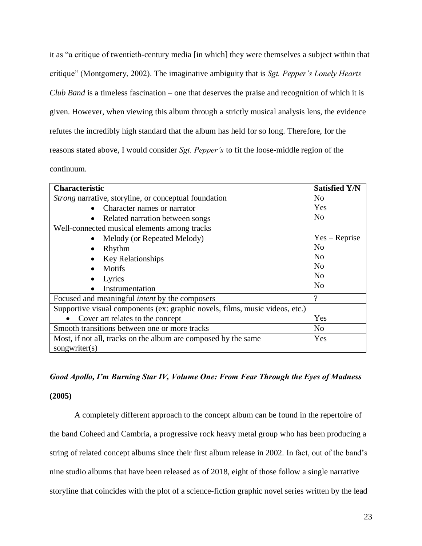it as "a critique of twentieth-century media [in which] they were themselves a subject within that critique" (Montgomery, 2002). The imaginative ambiguity that is *Sgt. Pepper's Lonely Hearts Club Band* is a timeless fascination – one that deserves the praise and recognition of which it is given. However, when viewing this album through a strictly musical analysis lens, the evidence refutes the incredibly high standard that the album has held for so long. Therefore, for the reasons stated above, I would consider *Sgt. Pepper's* to fit the loose-middle region of the continuum.

| <b>Characteristic</b>                                                        | <b>Satisfied Y/N</b> |
|------------------------------------------------------------------------------|----------------------|
| <i>Strong</i> narrative, storyline, or conceptual foundation                 | N <sub>0</sub>       |
| Character names or narrator<br>$\bullet$                                     | Yes                  |
| Related narration between songs<br>$\bullet$                                 | N <sub>0</sub>       |
| Well-connected musical elements among tracks                                 |                      |
| Melody (or Repeated Melody)                                                  | $Yes - Reprise$      |
| Rhythm                                                                       | No                   |
| Key Relationships                                                            | N <sub>o</sub>       |
| Motifs                                                                       | N <sub>0</sub>       |
| Lyrics                                                                       | N <sub>0</sub>       |
| Instrumentation                                                              | N <sub>0</sub>       |
| Focused and meaningful <i>intent</i> by the composers                        | $\gamma$             |
| Supportive visual components (ex: graphic novels, films, music videos, etc.) |                      |
| Cover art relates to the concept                                             | Yes                  |
| Smooth transitions between one or more tracks                                | No                   |
| Most, if not all, tracks on the album are composed by the same               | Yes                  |
| songwriter $(s)$                                                             |                      |

## *Good Apollo, I'm Burning Star IV, Volume One: From Fear Through the Eyes of Madness*

#### **(2005)**

A completely different approach to the concept album can be found in the repertoire of the band Coheed and Cambria, a progressive rock heavy metal group who has been producing a string of related concept albums since their first album release in 2002. In fact, out of the band's nine studio albums that have been released as of 2018, eight of those follow a single narrative storyline that coincides with the plot of a science-fiction graphic novel series written by the lead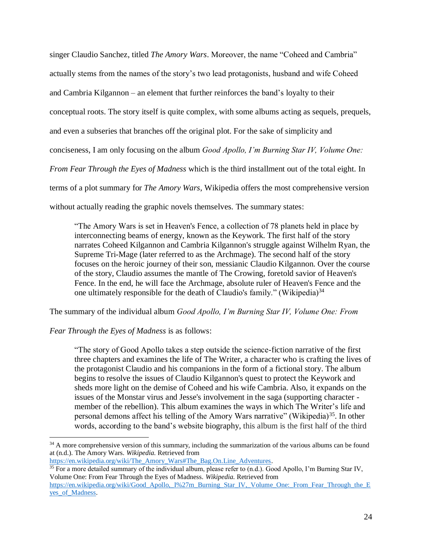singer Claudio Sanchez, titled *The Amory Wars*. Moreover, the name "Coheed and Cambria" actually stems from the names of the story's two lead protagonists, husband and wife Coheed and Cambria Kilgannon – an element that further reinforces the band's loyalty to their conceptual roots. The story itself is quite complex, with some albums acting as sequels, prequels, and even a subseries that branches off the original plot. For the sake of simplicity and conciseness, I am only focusing on the album *Good Apollo, I'm Burning Star IV, Volume One: From Fear Through the Eyes of Madness* which is the third installment out of the total eight. In terms of a plot summary for *The Amory Wars*, Wikipedia offers the most comprehensive version without actually reading the graphic novels themselves. The summary states:

"The Amory Wars is set in Heaven's Fence, a collection of 78 planets held in place by interconnecting beams of energy, known as the Keywork. The first half of the story narrates Coheed Kilgannon and Cambria Kilgannon's struggle against Wilhelm Ryan, the Supreme Tri-Mage (later referred to as the Archmage). The second half of the story focuses on the heroic journey of their son, messianic Claudio Kilgannon. Over the course of the story, Claudio assumes the mantle of The Crowing, foretold savior of Heaven's Fence. In the end, he will face the Archmage, absolute ruler of Heaven's Fence and the one ultimately responsible for the death of Claudio's family." (Wikipedia)<sup>34</sup>

The summary of the individual album *Good Apollo, I'm Burning Star IV, Volume One: From* 

### *Fear Through the Eyes of Madness* is as follows:

"The story of Good Apollo takes a step outside the science-fiction narrative of the first three chapters and examines the life of The Writer, a character who is crafting the lives of the protagonist Claudio and his companions in the form of a fictional story. The album begins to resolve the issues of Claudio Kilgannon's quest to protect the Keywork and sheds more light on the demise of Coheed and his wife Cambria. Also, it expands on the issues of the Monstar virus and Jesse's involvement in the saga (supporting character member of the rebellion). This album examines the ways in which The Writer's life and personal demons affect his telling of the Amory Wars narrative" (Wikipedia)<sup>35</sup>. In other words, according to the band's website biography, this album is the first half of the third

 $\overline{a}$ <sup>34</sup> A more comprehensive version of this summary, including the summarization of the various albums can be found at (n.d.). The Amory Wars. *Wikipedia.* Retrieved from

[https://en.wikipedia.org/wiki/The\\_Amory\\_Wars#The\\_Bag.On.Line\\_Adventures.](https://en.wikipedia.org/wiki/The_Amory_Wars#The_Bag.On.Line_Adventures)

 $35$  For a more detailed summary of the individual album, please refer to (n.d.). Good Apollo, I'm Burning Star IV, Volume One: From Fear Through the Eyes of Madness. *Wikipedia.* Retrieved from

https://en.wikipedia.org/wiki/Good\_Apollo, I%27m\_Burning\_Star\_IV,\_Volume\_One:\_From\_Fear\_Through\_the\_E yes of Madness.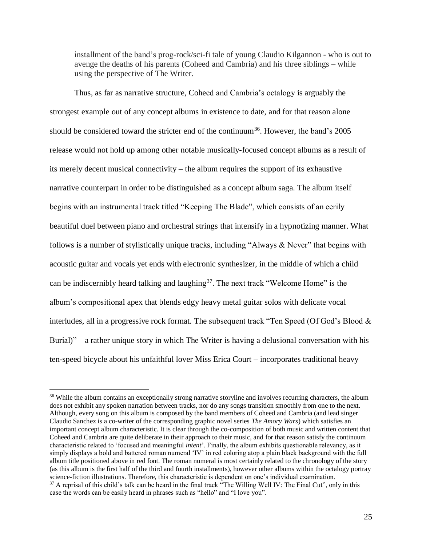installment of the band's prog-rock/sci-fi tale of young Claudio Kilgannon - who is out to avenge the deaths of his parents (Coheed and Cambria) and his three siblings – while using the perspective of The Writer.

Thus, as far as narrative structure, Coheed and Cambria's octalogy is arguably the strongest example out of any concept albums in existence to date, and for that reason alone should be considered toward the stricter end of the continuum<sup>36</sup>. However, the band's  $2005$ release would not hold up among other notable musically-focused concept albums as a result of its merely decent musical connectivity – the album requires the support of its exhaustive narrative counterpart in order to be distinguished as a concept album saga. The album itself begins with an instrumental track titled "Keeping The Blade", which consists of an eerily beautiful duel between piano and orchestral strings that intensify in a hypnotizing manner. What follows is a number of stylistically unique tracks, including "Always & Never" that begins with acoustic guitar and vocals yet ends with electronic synthesizer, in the middle of which a child can be indiscernibly heard talking and laughing<sup>37</sup>. The next track "Welcome Home" is the album's compositional apex that blends edgy heavy metal guitar solos with delicate vocal interludes, all in a progressive rock format. The subsequent track "Ten Speed (Of God's Blood & Burial)" – a rather unique story in which The Writer is having a delusional conversation with his ten-speed bicycle about his unfaithful lover Miss Erica Court – incorporates traditional heavy

<sup>&</sup>lt;sup>36</sup> While the album contains an exceptionally strong narrative storyline and involves recurring characters, the album does not exhibit any spoken narration between tracks, nor do any songs transition smoothly from one to the next. Although, every song on this album is composed by the band members of Coheed and Cambria (and lead singer Claudio Sanchez is a co-writer of the corresponding graphic novel series *The Amory Wars*) which satisfies an important concept album characteristic. It is clear through the co-composition of both music and written content that Coheed and Cambria are quite deliberate in their approach to their music, and for that reason satisfy the continuum characteristic related to 'focused and meaningful *intent*'. Finally, the album exhibits questionable relevancy, as it simply displays a bold and battered roman numeral 'IV' in red coloring atop a plain black background with the full album title positioned above in red font. The roman numeral is most certainly related to the chronology of the story (as this album is the first half of the third and fourth installments), however other albums within the octalogy portray science-fiction illustrations. Therefore, this characteristic is dependent on one's individual examination. <sup>37</sup> A reprisal of this child's talk can be heard in the final track "The Willing Well IV: The Final Cut", only in this case the words can be easily heard in phrases such as "hello" and "I love you".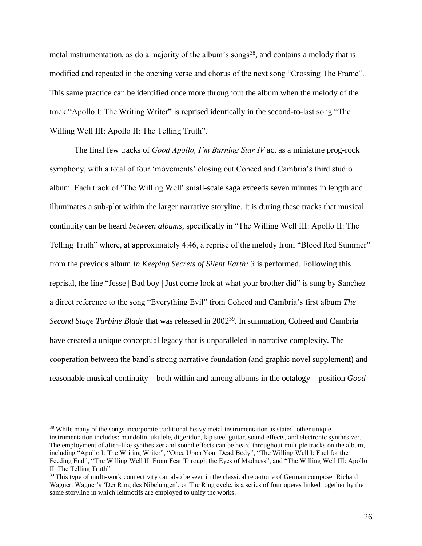metal instrumentation, as do a majority of the album's songs<sup>38</sup>, and contains a melody that is modified and repeated in the opening verse and chorus of the next song "Crossing The Frame". This same practice can be identified once more throughout the album when the melody of the track "Apollo I: The Writing Writer" is reprised identically in the second-to-last song "The Willing Well III: Apollo II: The Telling Truth".

The final few tracks of *Good Apollo, I'm Burning Star IV* act as a miniature prog-rock symphony, with a total of four 'movements' closing out Coheed and Cambria's third studio album. Each track of 'The Willing Well' small-scale saga exceeds seven minutes in length and illuminates a sub-plot within the larger narrative storyline. It is during these tracks that musical continuity can be heard *between albums*, specifically in "The Willing Well III: Apollo II: The Telling Truth" where, at approximately 4:46, a reprise of the melody from "Blood Red Summer" from the previous album *In Keeping Secrets of Silent Earth: 3* is performed. Following this reprisal, the line "Jesse | Bad boy | Just come look at what your brother did" is sung by Sanchez – a direct reference to the song "Everything Evil" from Coheed and Cambria's first album *The*  Second Stage Turbine Blade that was released in 2002<sup>39</sup>. In summation, Coheed and Cambria have created a unique conceptual legacy that is unparalleled in narrative complexity. The cooperation between the band's strong narrative foundation (and graphic novel supplement) and reasonable musical continuity – both within and among albums in the octalogy – position *Good* 

<sup>&</sup>lt;sup>38</sup> While many of the songs incorporate traditional heavy metal instrumentation as stated, other unique instrumentation includes: mandolin, ukulele, digeridoo, lap steel guitar, sound effects, and electronic synthesizer. The employment of alien-like synthesizer and sound effects can be heard throughout multiple tracks on the album, including "Apollo I: The Writing Writer", "Once Upon Your Dead Body", "The Willing Well I: Fuel for the Feeding End", "The Willing Well II: From Fear Through the Eyes of Madness", and "The Willing Well III: Apollo II: The Telling Truth".

<sup>&</sup>lt;sup>39</sup> This type of multi-work connectivity can also be seen in the classical repertoire of German composer Richard Wagner. Wagner's 'Der Ring des Nibelungen', or The Ring cycle, is a series of four operas linked together by the same storyline in which leitmotifs are employed to unify the works.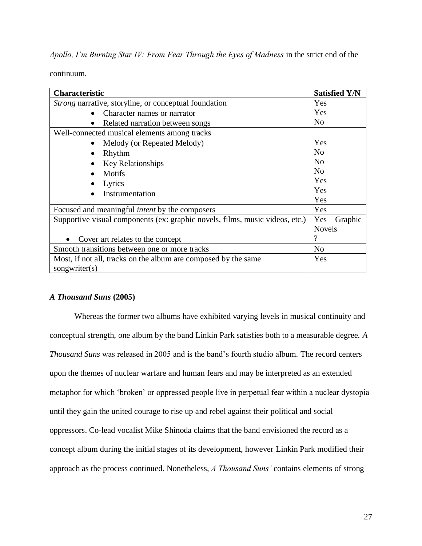*Apollo, I'm Burning Star IV: From Fear Through the Eyes of Madness* in the strict end of the

continuum.

| <b>Characteristic</b>                                                        | <b>Satisfied Y/N</b> |
|------------------------------------------------------------------------------|----------------------|
| <i>Strong</i> narrative, storyline, or conceptual foundation                 | Yes                  |
| Character names or narrator                                                  | Yes                  |
| Related narration between songs                                              | No.                  |
| Well-connected musical elements among tracks                                 |                      |
| Melody (or Repeated Melody)                                                  | Yes                  |
| Rhythm                                                                       | N <sub>0</sub>       |
| <b>Key Relationships</b>                                                     | N <sub>0</sub>       |
| Motifs                                                                       | N <sub>0</sub>       |
| Lyrics                                                                       | Yes                  |
| Instrumentation                                                              | Yes                  |
|                                                                              | Yes                  |
| Focused and meaningful <i>intent</i> by the composers                        | Yes                  |
| Supportive visual components (ex: graphic novels, films, music videos, etc.) | $Yes - Graphic$      |
|                                                                              | <b>Novels</b>        |
| Cover art relates to the concept                                             | 9                    |
| Smooth transitions between one or more tracks                                | N <sub>o</sub>       |
| Most, if not all, tracks on the album are composed by the same               | Yes                  |
| songwriter(s)                                                                |                      |

## *A Thousand Suns* **(2005)**

Whereas the former two albums have exhibited varying levels in musical continuity and conceptual strength, one album by the band Linkin Park satisfies both to a measurable degree. *A Thousand Suns* was released in 2005 and is the band's fourth studio album. The record centers upon the themes of nuclear warfare and human fears and may be interpreted as an extended metaphor for which 'broken' or oppressed people live in perpetual fear within a nuclear dystopia until they gain the united courage to rise up and rebel against their political and social oppressors. Co-lead vocalist Mike Shinoda claims that the band envisioned the record as a concept album during the initial stages of its development, however Linkin Park modified their approach as the process continued. Nonetheless, *A Thousand Suns'* contains elements of strong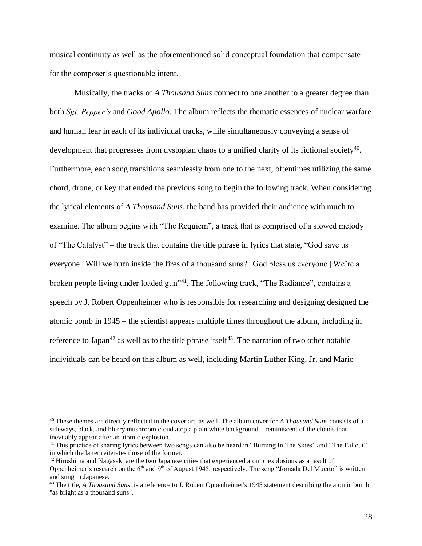musical continuity as well as the aforementioned solid conceptual foundation that compensate for the composer's questionable intent.

Musically, the tracks of *A Thousand Suns* connect to one another to a greater degree than both *Sgt. Pepper's* and *Good Apollo*. The album reflects the thematic essences of nuclear warfare and human fear in each of its individual tracks, while simultaneously conveying a sense of development that progresses from dystopian chaos to a unified clarity of its fictional society<sup>40</sup>. Furthermore, each song transitions seamlessly from one to the next, oftentimes utilizing the same chord, drone, or key that ended the previous song to begin the following track. When considering the lyrical elements of *A Thousand Suns,* the band has provided their audience with much to examine. The album begins with "The Requiem", a track that is comprised of a slowed melody of "The Catalyst" – the track that contains the title phrase in lyrics that state, "God save us everyone | Will we burn inside the fires of a thousand suns? | God bless us everyone | We're a broken people living under loaded gun<sup>141</sup>. The following track, "The Radiance", contains a speech by J. Robert Oppenheimer who is responsible for researching and designing designed the atomic bomb in 1945 – the scientist appears multiple times throughout the album, including in reference to Japan<sup>42</sup> as well as to the title phrase itself<sup>43</sup>. The narration of two other notable individuals can be heard on this album as well, including Martin Luther King, Jr. and Mario

<sup>40</sup> These themes are directly reflected in the cover art, as well. The album cover for *A Thousand Suns* consists of a sideways, black, and blurry mushroom cloud atop a plain white background – reminiscent of the clouds that inevitably appear after an atomic explosion.

<sup>&</sup>lt;sup>41</sup> This practice of sharing lyrics between two songs can also be heard in "Burning In The Skies" and "The Fallout" in which the latter reiterates those of the former.

<sup>&</sup>lt;sup>42</sup> Hiroshima and Nagasaki are the two Japanese cities that experienced atomic explosions as a result of Oppenheimer's research on the  $6<sup>th</sup>$  and  $9<sup>th</sup>$  of August 1945, respectively. The song "Jornada Del Muerto" is written and sung in Japanese.

<sup>43</sup> The title, *A Thousand Suns*, is a reference to J. Robert Oppenheimer's 1945 statement describing the atomic bomb "as bright as a thousand suns".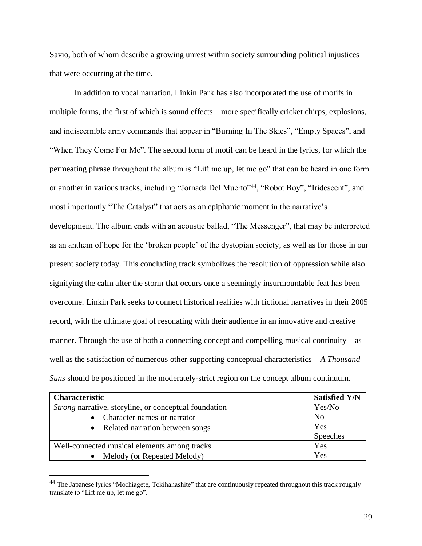Savio, both of whom describe a growing unrest within society surrounding political injustices that were occurring at the time.

In addition to vocal narration, Linkin Park has also incorporated the use of motifs in multiple forms, the first of which is sound effects – more specifically cricket chirps, explosions, and indiscernible army commands that appear in "Burning In The Skies", "Empty Spaces", and "When They Come For Me". The second form of motif can be heard in the lyrics, for which the permeating phrase throughout the album is "Lift me up, let me go" that can be heard in one form or another in various tracks, including "Jornada Del Muerto"<sup>44</sup>, "Robot Boy", "Iridescent", and most importantly "The Catalyst" that acts as an epiphanic moment in the narrative's development. The album ends with an acoustic ballad, "The Messenger", that may be interpreted as an anthem of hope for the 'broken people' of the dystopian society, as well as for those in our present society today. This concluding track symbolizes the resolution of oppression while also signifying the calm after the storm that occurs once a seemingly insurmountable feat has been overcome. Linkin Park seeks to connect historical realities with fictional narratives in their 2005 record, with the ultimate goal of resonating with their audience in an innovative and creative manner. Through the use of both a connecting concept and compelling musical continuity – as well as the satisfaction of numerous other supporting conceptual characteristics – *A Thousand Suns* should be positioned in the moderately-strict region on the concept album continuum.

| <b>Characteristic</b>                                 | <b>Satisfied Y/N</b> |
|-------------------------------------------------------|----------------------|
| Strong narrative, storyline, or conceptual foundation | Yes/No               |
| Character names or narrator                           | No                   |
| Related narration between songs                       | $Yes -$              |
|                                                       | Speeches             |
| Well-connected musical elements among tracks          | Yes                  |
| Melody (or Repeated Melody)                           | Yes                  |

<sup>44</sup> The Japanese lyrics "Mochiagete, Tokihanashite" that are continuously repeated throughout this track roughly translate to "Lift me up, let me go".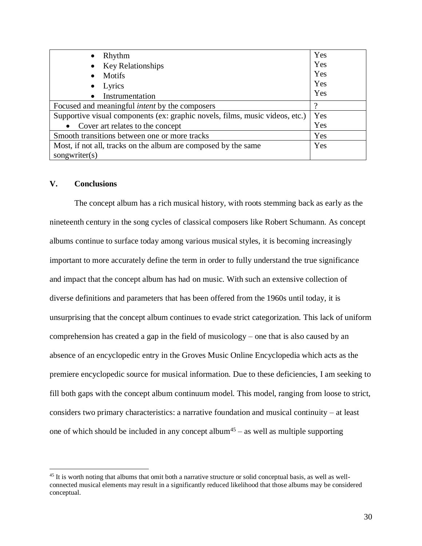| Rhythm<br>$\bullet$                                                          | Yes |
|------------------------------------------------------------------------------|-----|
| <b>Key Relationships</b>                                                     | Yes |
| <b>Motifs</b>                                                                | Yes |
| Lyrics<br>$\bullet$                                                          | Yes |
| Instrumentation<br>$\bullet$                                                 | Yes |
| Focused and meaningful <i>intent</i> by the composers                        | റ   |
| Supportive visual components (ex: graphic novels, films, music videos, etc.) | Yes |
| Cover art relates to the concept<br>$\bullet$                                | Yes |
| Smooth transitions between one or more tracks                                | Yes |
| Most, if not all, tracks on the album are composed by the same               | Yes |
| songwriter $(s)$                                                             |     |

### **V. Conclusions**

 $\overline{a}$ 

The concept album has a rich musical history, with roots stemming back as early as the nineteenth century in the song cycles of classical composers like Robert Schumann. As concept albums continue to surface today among various musical styles, it is becoming increasingly important to more accurately define the term in order to fully understand the true significance and impact that the concept album has had on music. With such an extensive collection of diverse definitions and parameters that has been offered from the 1960s until today, it is unsurprising that the concept album continues to evade strict categorization. This lack of uniform comprehension has created a gap in the field of musicology – one that is also caused by an absence of an encyclopedic entry in the Groves Music Online Encyclopedia which acts as the premiere encyclopedic source for musical information. Due to these deficiencies, I am seeking to fill both gaps with the concept album continuum model. This model, ranging from loose to strict, considers two primary characteristics: a narrative foundation and musical continuity – at least one of which should be included in any concept album<sup>45</sup> – as well as multiple supporting

<sup>&</sup>lt;sup>45</sup> It is worth noting that albums that omit both a narrative structure or solid conceptual basis, as well as wellconnected musical elements may result in a significantly reduced likelihood that those albums may be considered conceptual.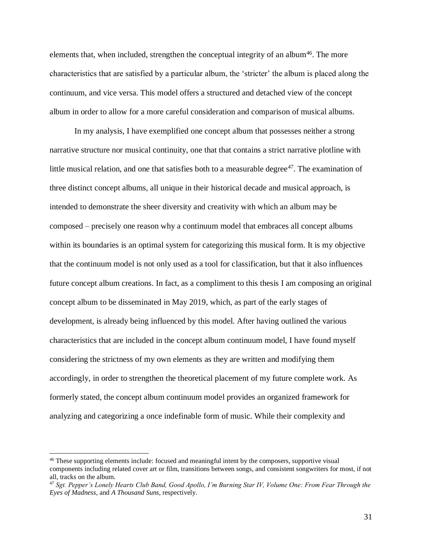elements that, when included, strengthen the conceptual integrity of an album<sup>46</sup>. The more characteristics that are satisfied by a particular album, the 'stricter' the album is placed along the continuum, and vice versa. This model offers a structured and detached view of the concept album in order to allow for a more careful consideration and comparison of musical albums.

In my analysis, I have exemplified one concept album that possesses neither a strong narrative structure nor musical continuity, one that that contains a strict narrative plotline with little musical relation, and one that satisfies both to a measurable degree $47$ . The examination of three distinct concept albums, all unique in their historical decade and musical approach, is intended to demonstrate the sheer diversity and creativity with which an album may be composed – precisely one reason why a continuum model that embraces all concept albums within its boundaries is an optimal system for categorizing this musical form. It is my objective that the continuum model is not only used as a tool for classification, but that it also influences future concept album creations. In fact, as a compliment to this thesis I am composing an original concept album to be disseminated in May 2019, which, as part of the early stages of development, is already being influenced by this model. After having outlined the various characteristics that are included in the concept album continuum model, I have found myself considering the strictness of my own elements as they are written and modifying them accordingly, in order to strengthen the theoretical placement of my future complete work. As formerly stated, the concept album continuum model provides an organized framework for analyzing and categorizing a once indefinable form of music. While their complexity and

<sup>46</sup> These supporting elements include: focused and meaningful intent by the composers, supportive visual components including related cover art or film, transitions between songs, and consistent songwriters for most, if not all, tracks on the album.

<sup>47</sup> *Sgt. Pepper's Lonely Hearts Club Band, Good Apollo, I'm Burning Star IV, Volume One: From Fear Through the Eyes of Madness,* and *A Thousand Suns,* respectively.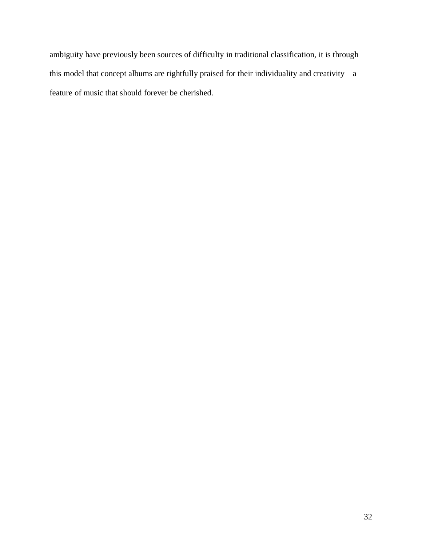ambiguity have previously been sources of difficulty in traditional classification, it is through this model that concept albums are rightfully praised for their individuality and creativity  $-$  a feature of music that should forever be cherished.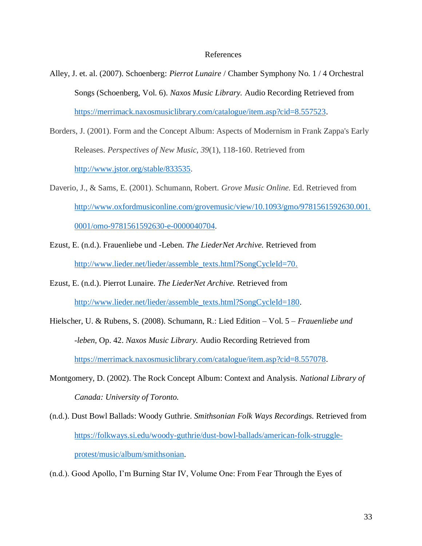#### References

- Alley, J. et. al. (2007). Schoenberg: *Pierrot Lunaire* / Chamber Symphony No. 1 / 4 Orchestral Songs (Schoenberg, Vol. 6). *Naxos Music Library.* Audio Recording Retrieved from [https://merrimack.naxosmusiclibrary.com/catalogue/item.asp?cid=8.557523.](https://merrimack.naxosmusiclibrary.com/catalogue/item.asp?cid=8.557523)
- Borders, J. (2001). Form and the Concept Album: Aspects of Modernism in Frank Zappa's Early Releases. *Perspectives of New Music, 39*(1), 118-160. Retrieved from [http://www.jstor.org/stable/833535.](http://www.jstor.org/stable/833535)
- Daverio, J., & Sams, E. (2001). Schumann, Robert. *Grove Music Online.* Ed. Retrieved from [http://www.oxfordmusiconline.com/grovemusic/view/10.1093/gmo/9781561592630.001.](http://www.oxfordmusiconline.com/grovemusic/view/10.1093/gmo/9781561592630.001.0001/omo-9781561592630-e-0000040704) [0001/omo-9781561592630-e-0000040704.](http://www.oxfordmusiconline.com/grovemusic/view/10.1093/gmo/9781561592630.001.0001/omo-9781561592630-e-0000040704)
- Ezust, E. (n.d.). Frauenliebe und -Leben. *The LiederNet Archive.* Retrieved from [http://www.lieder.net/lieder/assemble\\_texts.html?SongCycleId=70.](http://www.lieder.net/lieder/assemble_texts.html?SongCycleId=70)
- Ezust, E. (n.d.). Pierrot Lunaire. *The LiederNet Archive.* Retrieved from [http://www.lieder.net/lieder/assemble\\_texts.html?SongCycleId=180.](http://www.lieder.net/lieder/assemble_texts.html?SongCycleId=180)
- Hielscher, U. & Rubens, S. (2008). Schumann, R.: Lied Edition Vol. 5 *Frauenliebe und -leben,* Op. 42. *Naxos Music Library.* Audio Recording Retrieved from [https://merrimack.naxosmusiclibrary.com/catalogue/item.asp?cid=8.557078.](https://merrimack.naxosmusiclibrary.com/catalogue/item.asp?cid=8.557078)
- Montgomery, D. (2002). The Rock Concept Album: Context and Analysis. *National Library of Canada: University of Toronto.*
- (n.d.). Dust Bowl Ballads: Woody Guthrie. *Smithsonian Folk Ways Recordings.* Retrieved from [https://folkways.si.edu/woody-guthrie/dust-bowl-ballads/american-folk-struggle](https://folkways.si.edu/woody-guthrie/dust-bowl-ballads/american-folk-struggle-protest/music/album/smithsonian)[protest/music/album/smithsonian.](https://folkways.si.edu/woody-guthrie/dust-bowl-ballads/american-folk-struggle-protest/music/album/smithsonian)

(n.d.). Good Apollo, I'm Burning Star IV, Volume One: From Fear Through the Eyes of